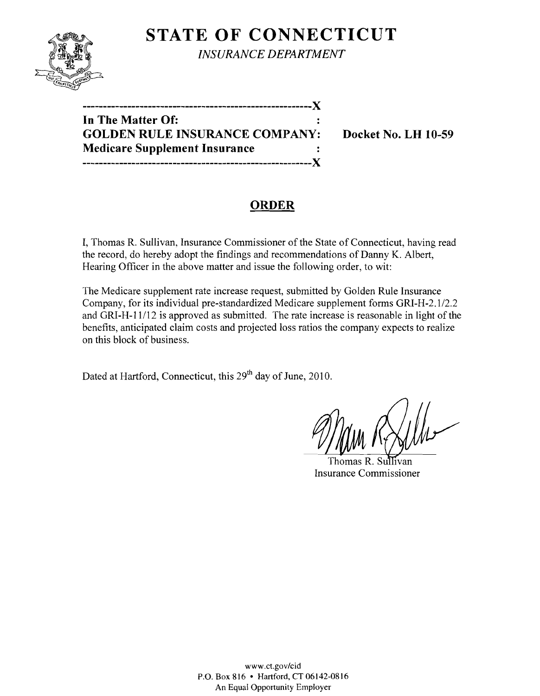# **STATE OF CONNECTICUT**



*INSURANCE DEPARTMENT* 

**--------------------------------------------------------)( In The Matter Of: GOLDEN RULE INSURANCE COMPANY: Docket No. LH 10-59 Medicare Supplement Insurance --------------------------------------------------------)(** 

### **ORDER**

I, Thomas R. Sullivan, Insurance Commissioner of the State of Connecticut, having read the record, do hereby adopt the findings and recommendations of Danny K. Albert, Hearing Officer in the above matter and issue the following order, to wit:

The Medicare supplement rate increase request, submitted by Golden Rule Insurance Company, for its individual pre-standardized Medicare supplement forms GRI-H-2.1/2.2 and GRI-H-11/12 is approved as submitted. The rate increase is reasonable in light of the benefits, anticipated claim costs and projected loss ratios the company expects to realize on this block of business.

Dated at Hartford, Connecticut, this 29<sup>th</sup> day of June, 2010.

Thomas R. Sullivan Insurance Commissioner

www.ct.gov/cid P.O. Box 816 • Hartford, CT 06142-0816 An Equal Opportunity Employer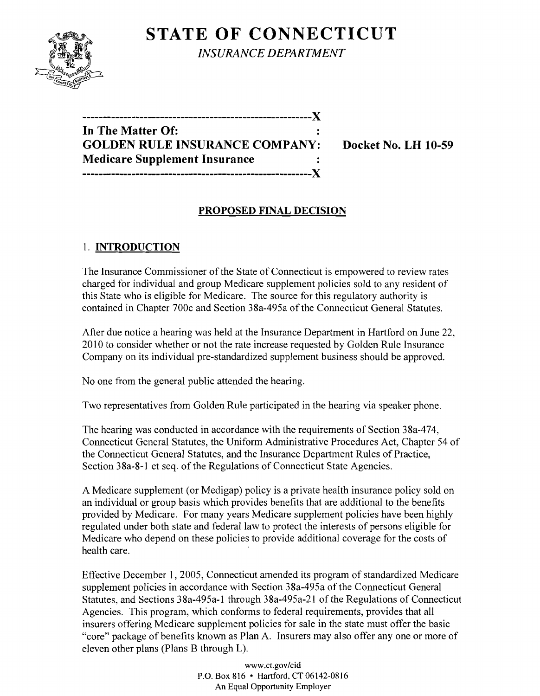## **STATE OF CONNECTICUT**



*INSURANCE DEPARTMENT* 

| In The Matter Of:                     |  |
|---------------------------------------|--|
| <b>GOLDEN RULE INSURANCE COMPANY:</b> |  |
| <b>Medicare Supplement Insurance</b>  |  |
|                                       |  |

**Docket No. LH 10-59** 

### **PROPOSED FINAL DECISION**

### 1. **INTRODUCTION**

The Insurance Commissioner of the State of Connecticut is empowered to review rates charged for individual and group Medicare supplement policies sold to any resident of this State who is eligible for Medicare. The source for this regulatory authority is contained in Chapter 700c and Section 38a-495a of the Connecticut General Statutes.

After due notice a hearing was held at the Insurance Department in Hartford on June 22, 2010 to consider whether or not the rate increase requested by Golden Rule Insurance Company on its individual pre-standardized supplement business should be approved.

No one from the general public attended the hearing.

Two representatives from Golden Rule participated in the hearing via speaker phone.

The hearing was conducted in accordance with the requirements of Section 38a-474, Connecticut General Statutes, the Uniform Administrative Procedures Act, Chapter 54 of the Connecticut General Statutes, and the Insurance Department Rules of Practice, Section 38a-8-1 et seq. of the Regulations of Connecticut State Agencies.

A Medicare supplement (or Medigap) policy is a private health insurance policy sold on an individual or group basis which provides benefits that are additional to the benefits provided by Medicare. For many years Medicare supplement policies have been highly regulated under both state and federal law to protect the interests of persons eligible for Medicare who depend on these policies to provide additional coverage for the costs of health care.

Effective December 1, 2005, Connecticut amended its program of standardized Medicare supplement policies in accordance with Section 38a-495a of the Connecticut General Statutes, and Sections 38a-495a-1 through 38a-495a-21 of the Regulations of Connecticut Agencies. This program, which conforms to federal requirements, provides that all insurers offering Medicare supplement policies for sale in the state must offer the basic "core" package of benefits known as Plan A. Insurers may also offer anyone or more of eleven other plans (Plans B through L).

> www.ct.gov/cid P.O. Box 816 • Hartford, CT 06142-0816 An Equal Opportunity Employer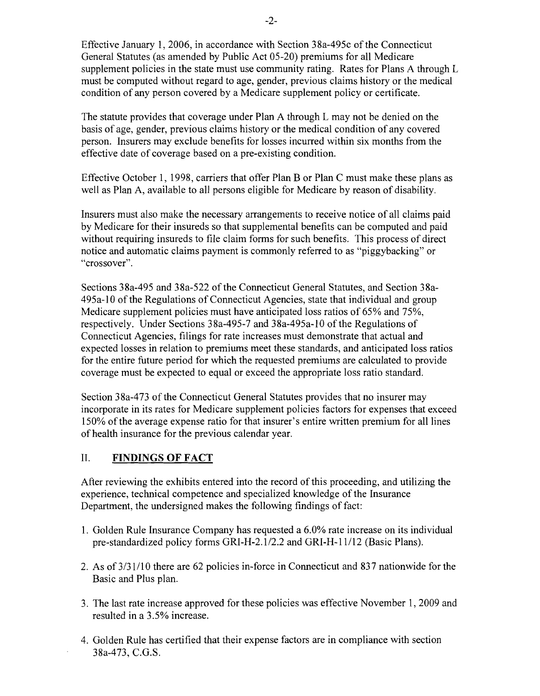Effective January 1,2006, in accordance with Section 38a-495c of the Connecticut General Statutes (as amended by Public Act 05-20) premiums for all Medicare supplement policies in the state must use community rating. Rates for Plans A through L must be computed without regard to age, gender, previous claims history or the medical condition of any person covered by a Medicare supplement policy or certificate.

The statute provides that coverage under Plan A through L may not be denied on the basis of age, gender, previous claims history or the medical condition of any covered person. Insurers may exclude benefits for losses incurred within six months from the effective date of coverage based on a pre-existing condition.

Effective October 1, 1998, carriers that offer Plan B or Plan C must make these plans as well as Plan A, available to all persons eligible for Medicare by reason of disability.

Insurers must also make the necessary arrangements to receive notice of all claims paid by Medicare for their insureds so that supplemental benefits can be computed and paid without requiring insureds to file claim forms for such benefits. This process of direct notice and automatic claims payment is commonly referred to as "piggybacking" or "crossover".

Sections 38a-495 and 38a-522 of the Connecticut General Statutes, and Section 38a-495a-lO of the Regulations of Connecticut Agencies, state that individual and group Medicare supplement policies must have anticipated loss ratios of 65% and 75%, respectively. Under Sections 38a-495-7 and 38a-495a-1O of the Regulations of Connecticut Agencies, filings for rate increases must demonstrate that actual and expected losses in relation to premiums meet these standards, and anticipated loss ratios for the entire future period for which the requested premiums are calculated to provide coverage must be expected to equal or exceed the appropriate loss ratio standard.

Section 38a-473 of the Connecticut General Statutes provides that no insurer may incorporate in its rates for Medicare supplement policies factors for expenses that exceed 150% of the average expense ratio for that insurer's entire written premium for all lines of health insurance for the previous calendar year.

#### II. **FINDINGS OF FACT**

After reviewing the exhibits entered into the record of this proceeding, and utilizing the experience, technical competence and specialized knowledge of the Insurance Department, the undersigned makes the following findings of fact:

- 1. Golden Rule Insurance Company has requested a 6.0% rate increase on its individual pre-standardized policy forms GRI-H-2.1/2.2 and GRI-H-11/12 (Basic Plans).
- 2. As of  $3/31/10$  there are 62 policies in-force in Connecticut and 837 nationwide for the Basic and Plus plan.
- 3. The last rate increase approved for these policies was effective November 1, 2009 and resulted in a 3.5% increase.
- 4. Golden Rule has certified that their expense factors are in compliance with section 38a-473, C.G.S.